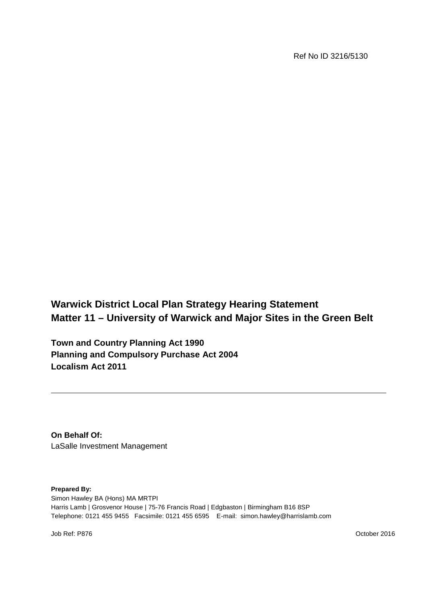Ref No ID 3216/5130

**Warwick District Local Plan Strategy Hearing Statement Matter 11 – University of Warwick and Major Sites in the Green Belt**

**Town and Country Planning Act 1990 Planning and Compulsory Purchase Act 2004 Localism Act 2011**

**On Behalf Of:** LaSalle Investment Management

**Prepared By:**

Simon Hawley BA (Hons) MA MRTPI Harris Lamb | Grosvenor House | 75-76 Francis Road | Edgbaston | Birmingham B16 8SP Telephone: 0121 455 9455 Facsimile: 0121 455 6595 E-mail: simon.hawley@harrislamb.com

Job Ref: P876 October 2016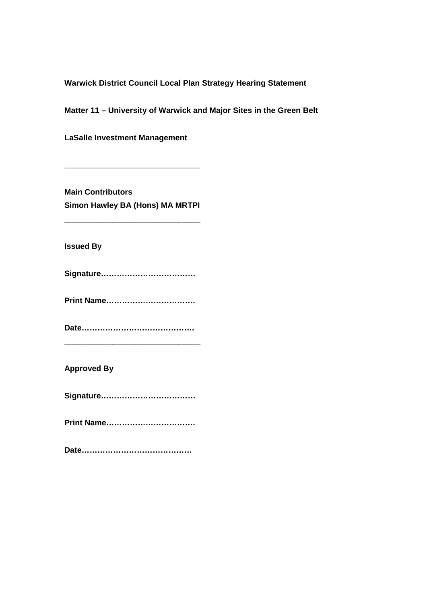**Warwick District Council Local Plan Strategy Hearing Statement** 

**Matter 11 – University of Warwick and Major Sites in the Green Belt**

**LaSalle Investment Management** 

**Main Contributors Simon Hawley BA (Hons) MA MRTPI**

**\_\_\_\_\_\_\_\_\_\_\_\_\_\_\_\_\_\_\_\_\_\_\_\_\_\_\_\_\_\_\_**

**\_\_\_\_\_\_\_\_\_\_\_\_\_\_\_\_\_\_\_\_\_\_\_\_\_\_\_\_\_\_\_**

**Issued By**

**Signature………………………………**

**Print Name…………………………….**

**Date…………………………………….**

**\_\_\_\_\_\_\_\_\_\_\_\_\_\_\_\_\_\_\_\_\_\_\_\_\_\_\_\_\_\_\_**

**Approved By**

**Signature………………………………**

**Print Name…………………………….**

**Date……………………………………**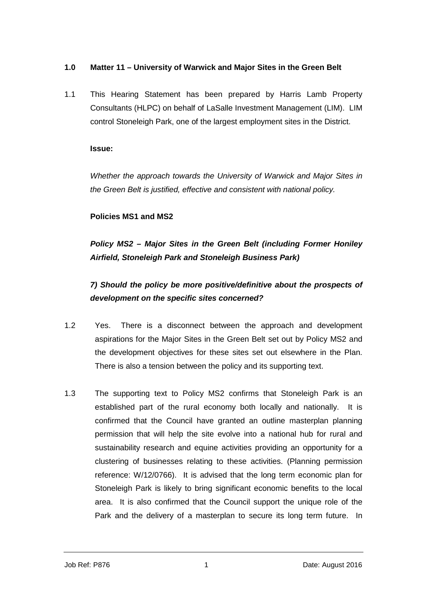#### **1.0 Matter 11 – University of Warwick and Major Sites in the Green Belt**

1.1 This Hearing Statement has been prepared by Harris Lamb Property Consultants (HLPC) on behalf of LaSalle Investment Management (LIM). LIM control Stoneleigh Park, one of the largest employment sites in the District.

#### **Issue:**

*Whether the approach towards the University of Warwick and Major Sites in the Green Belt is justified, effective and consistent with national policy.*

#### **Policies MS1 and MS2**

## *Policy MS2 – Major Sites in the Green Belt (including Former Honiley Airfield, Stoneleigh Park and Stoneleigh Business Park)*

# *7) Should the policy be more positive/definitive about the prospects of development on the specific sites concerned?*

- 1.2 Yes. There is a disconnect between the approach and development aspirations for the Major Sites in the Green Belt set out by Policy MS2 and the development objectives for these sites set out elsewhere in the Plan. There is also a tension between the policy and its supporting text.
- 1.3 The supporting text to Policy MS2 confirms that Stoneleigh Park is an established part of the rural economy both locally and nationally. It is confirmed that the Council have granted an outline masterplan planning permission that will help the site evolve into a national hub for rural and sustainability research and equine activities providing an opportunity for a clustering of businesses relating to these activities. (Planning permission reference: W/12/0766). It is advised that the long term economic plan for Stoneleigh Park is likely to bring significant economic benefits to the local area. It is also confirmed that the Council support the unique role of the Park and the delivery of a masterplan to secure its long term future. In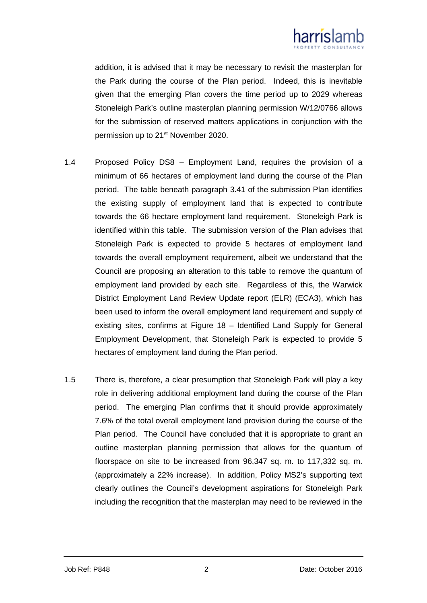

addition, it is advised that it may be necessary to revisit the masterplan for the Park during the course of the Plan period. Indeed, this is inevitable given that the emerging Plan covers the time period up to 2029 whereas Stoneleigh Park's outline masterplan planning permission W/12/0766 allows for the submission of reserved matters applications in conjunction with the permission up to 21st November 2020.

- 1.4 Proposed Policy DS8 Employment Land, requires the provision of a minimum of 66 hectares of employment land during the course of the Plan period. The table beneath paragraph 3.41 of the submission Plan identifies the existing supply of employment land that is expected to contribute towards the 66 hectare employment land requirement. Stoneleigh Park is identified within this table. The submission version of the Plan advises that Stoneleigh Park is expected to provide 5 hectares of employment land towards the overall employment requirement, albeit we understand that the Council are proposing an alteration to this table to remove the quantum of employment land provided by each site. Regardless of this, the Warwick District Employment Land Review Update report (ELR) (ECA3), which has been used to inform the overall employment land requirement and supply of existing sites, confirms at Figure 18 – Identified Land Supply for General Employment Development, that Stoneleigh Park is expected to provide 5 hectares of employment land during the Plan period.
- 1.5 There is, therefore, a clear presumption that Stoneleigh Park will play a key role in delivering additional employment land during the course of the Plan period. The emerging Plan confirms that it should provide approximately 7.6% of the total overall employment land provision during the course of the Plan period. The Council have concluded that it is appropriate to grant an outline masterplan planning permission that allows for the quantum of floorspace on site to be increased from 96,347 sq. m. to 117,332 sq. m. (approximately a 22% increase). In addition, Policy MS2's supporting text clearly outlines the Council's development aspirations for Stoneleigh Park including the recognition that the masterplan may need to be reviewed in the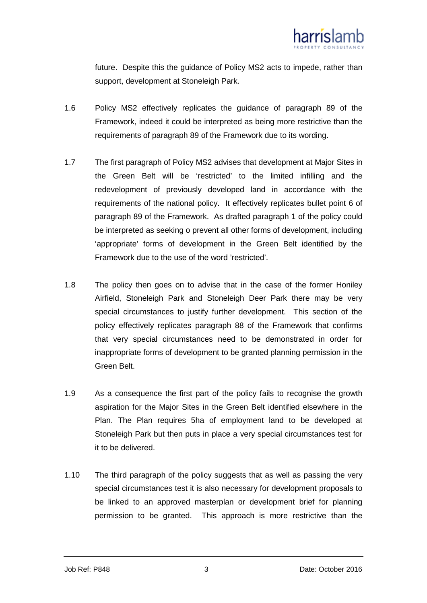

future. Despite this the guidance of Policy MS2 acts to impede, rather than support, development at Stoneleigh Park.

- 1.6 Policy MS2 effectively replicates the guidance of paragraph 89 of the Framework, indeed it could be interpreted as being more restrictive than the requirements of paragraph 89 of the Framework due to its wording.
- 1.7 The first paragraph of Policy MS2 advises that development at Major Sites in the Green Belt will be 'restricted' to the limited infilling and the redevelopment of previously developed land in accordance with the requirements of the national policy. It effectively replicates bullet point 6 of paragraph 89 of the Framework. As drafted paragraph 1 of the policy could be interpreted as seeking o prevent all other forms of development, including 'appropriate' forms of development in the Green Belt identified by the Framework due to the use of the word 'restricted'.
- 1.8 The policy then goes on to advise that in the case of the former Honiley Airfield, Stoneleigh Park and Stoneleigh Deer Park there may be very special circumstances to justify further development. This section of the policy effectively replicates paragraph 88 of the Framework that confirms that very special circumstances need to be demonstrated in order for inappropriate forms of development to be granted planning permission in the Green Belt.
- 1.9 As a consequence the first part of the policy fails to recognise the growth aspiration for the Major Sites in the Green Belt identified elsewhere in the Plan. The Plan requires 5ha of employment land to be developed at Stoneleigh Park but then puts in place a very special circumstances test for it to be delivered.
- 1.10 The third paragraph of the policy suggests that as well as passing the very special circumstances test it is also necessary for development proposals to be linked to an approved masterplan or development brief for planning permission to be granted. This approach is more restrictive than the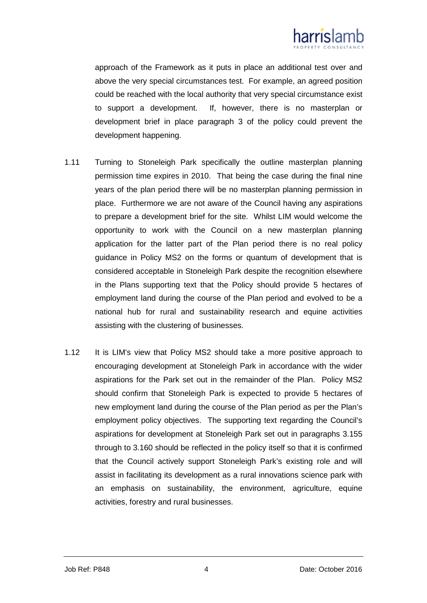

approach of the Framework as it puts in place an additional test over and above the very special circumstances test. For example, an agreed position could be reached with the local authority that very special circumstance exist to support a development. If, however, there is no masterplan or development brief in place paragraph 3 of the policy could prevent the development happening.

- 1.11 Turning to Stoneleigh Park specifically the outline masterplan planning permission time expires in 2010. That being the case during the final nine years of the plan period there will be no masterplan planning permission in place. Furthermore we are not aware of the Council having any aspirations to prepare a development brief for the site. Whilst LIM would welcome the opportunity to work with the Council on a new masterplan planning application for the latter part of the Plan period there is no real policy guidance in Policy MS2 on the forms or quantum of development that is considered acceptable in Stoneleigh Park despite the recognition elsewhere in the Plans supporting text that the Policy should provide 5 hectares of employment land during the course of the Plan period and evolved to be a national hub for rural and sustainability research and equine activities assisting with the clustering of businesses.
- 1.12 It is LIM's view that Policy MS2 should take a more positive approach to encouraging development at Stoneleigh Park in accordance with the wider aspirations for the Park set out in the remainder of the Plan. Policy MS2 should confirm that Stoneleigh Park is expected to provide 5 hectares of new employment land during the course of the Plan period as per the Plan's employment policy objectives. The supporting text regarding the Council's aspirations for development at Stoneleigh Park set out in paragraphs 3.155 through to 3.160 should be reflected in the policy itself so that it is confirmed that the Council actively support Stoneleigh Park's existing role and will assist in facilitating its development as a rural innovations science park with an emphasis on sustainability, the environment, agriculture, equine activities, forestry and rural businesses.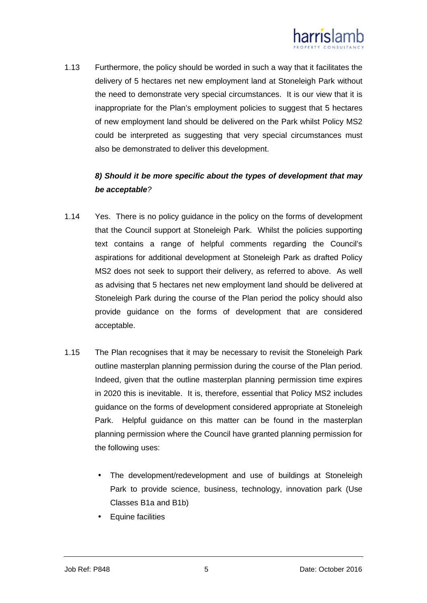

1.13 Furthermore, the policy should be worded in such a way that it facilitates the delivery of 5 hectares net new employment land at Stoneleigh Park without the need to demonstrate very special circumstances. It is our view that it is inappropriate for the Plan's employment policies to suggest that 5 hectares of new employment land should be delivered on the Park whilst Policy MS2 could be interpreted as suggesting that very special circumstances must also be demonstrated to deliver this development.

### *8) Should it be more specific about the types of development that may be acceptable?*

- 1.14 Yes. There is no policy guidance in the policy on the forms of development that the Council support at Stoneleigh Park. Whilst the policies supporting text contains a range of helpful comments regarding the Council's aspirations for additional development at Stoneleigh Park as drafted Policy MS2 does not seek to support their delivery, as referred to above. As well as advising that 5 hectares net new employment land should be delivered at Stoneleigh Park during the course of the Plan period the policy should also provide guidance on the forms of development that are considered acceptable.
- 1.15 The Plan recognises that it may be necessary to revisit the Stoneleigh Park outline masterplan planning permission during the course of the Plan period. Indeed, given that the outline masterplan planning permission time expires in 2020 this is inevitable. It is, therefore, essential that Policy MS2 includes guidance on the forms of development considered appropriate at Stoneleigh Park. Helpful guidance on this matter can be found in the masterplan planning permission where the Council have granted planning permission for the following uses:
	- The development/redevelopment and use of buildings at Stoneleigh Park to provide science, business, technology, innovation park (Use Classes B1a and B1b)
	- Equine facilities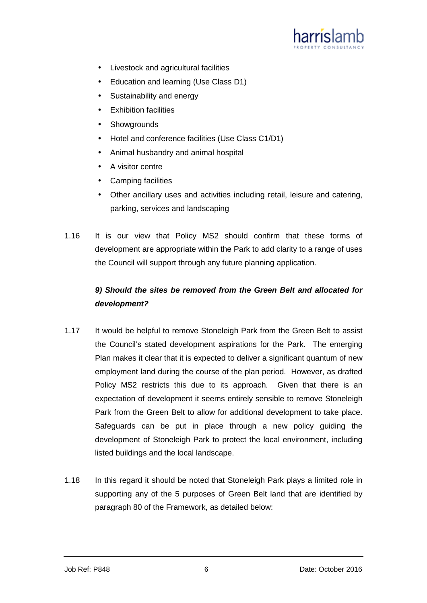

- Livestock and agricultural facilities  $\mathcal{L}^{\pm}$
- Education and learning (Use Class D1)  $\mathcal{L}^{\text{max}}$
- Sustainability and energy  $\mathcal{L}^{\mathcal{L}}$
- Exhibition facilities i.
- **Showgrounds**
- Hotel and conference facilities (Use Class C1/D1)  $\mathbf{r} = \mathbf{r}$
- Animal husbandry and animal hospital
- A visitor centre  $\mathcal{L}^{\mathcal{A}}$
- Camping facilities
- Other ancillary uses and activities including retail, leisure and catering, parking, services and landscaping
- 1.16 It is our view that Policy MS2 should confirm that these forms of development are appropriate within the Park to add clarity to a range of uses the Council will support through any future planning application.

### *9) Should the sites be removed from the Green Belt and allocated for development?*

- 1.17 It would be helpful to remove Stoneleigh Park from the Green Belt to assist the Council's stated development aspirations for the Park. The emerging Plan makes it clear that it is expected to deliver a significant quantum of new employment land during the course of the plan period. However, as drafted Policy MS2 restricts this due to its approach. Given that there is an expectation of development it seems entirely sensible to remove Stoneleigh Park from the Green Belt to allow for additional development to take place. Safeguards can be put in place through a new policy guiding the development of Stoneleigh Park to protect the local environment, including listed buildings and the local landscape.
- 1.18 In this regard it should be noted that Stoneleigh Park plays a limited role in supporting any of the 5 purposes of Green Belt land that are identified by paragraph 80 of the Framework, as detailed below: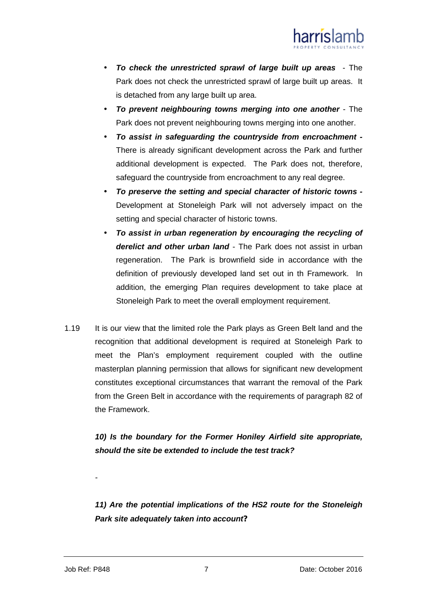

- *To check the unrestricted sprawl of large built up areas* The Park does not check the unrestricted sprawl of large built up areas. It is detached from any large built up area.
- *To prevent neighbouring towns merging into one another* The Park does not prevent neighbouring towns merging into one another.
- *To assist in safeguarding the countryside from encroachment -* There is already significant development across the Park and further additional development is expected. The Park does not, therefore, safeguard the countryside from encroachment to any real degree.
- *To preserve the setting and special character of historic towns -* Development at Stoneleigh Park will not adversely impact on the setting and special character of historic towns.
- *To assist in urban regeneration by encouraging the recycling of derelict and other urban land* - The Park does not assist in urban regeneration. The Park is brownfield side in accordance with the definition of previously developed land set out in th Framework. In addition, the emerging Plan requires development to take place at Stoneleigh Park to meet the overall employment requirement.
- 1.19 It is our view that the limited role the Park plays as Green Belt land and the recognition that additional development is required at Stoneleigh Park to meet the Plan's employment requirement coupled with the outline masterplan planning permission that allows for significant new development constitutes exceptional circumstances that warrant the removal of the Park from the Green Belt in accordance with the requirements of paragraph 82 of the Framework.

*10) Is the boundary for the Former Honiley Airfield site appropriate, should the site be extended to include the test track?*

*11) Are the potential implications of the HS2 route for the Stoneleigh Park site adequately taken into account?*

*-*